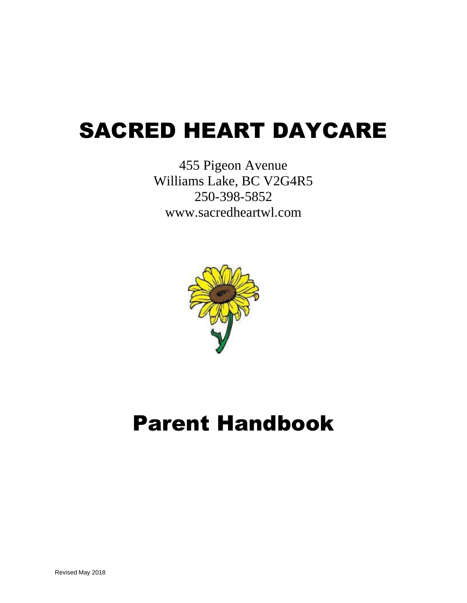# SACRED HEART DAYCARE

455 Pigeon Avenue Williams Lake, BC V2G4R5 250-398-5852 www.sacredheartwl.com



# Parent Handbook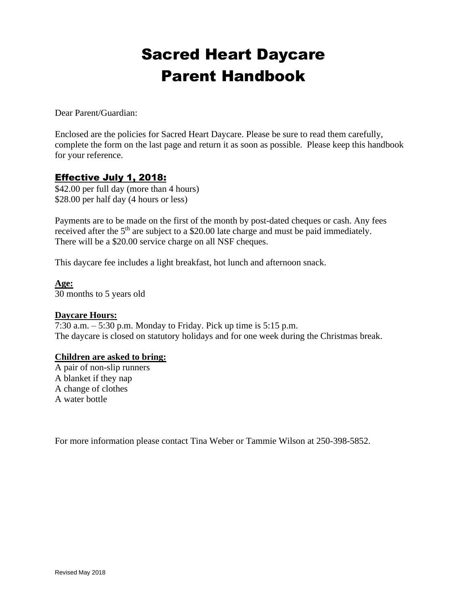### Sacred Heart Daycare Parent Handbook

Dear Parent/Guardian:

Enclosed are the policies for Sacred Heart Daycare. Please be sure to read them carefully, complete the form on the last page and return it as soon as possible. Please keep this handbook for your reference.

#### Effective July 1, 2018:

\$42.00 per full day (more than 4 hours) \$28.00 per half day (4 hours or less)

Payments are to be made on the first of the month by post-dated cheques or cash. Any fees received after the 5<sup>th</sup> are subject to a \$20.00 late charge and must be paid immediately. There will be a \$20.00 service charge on all NSF cheques.

This daycare fee includes a light breakfast, hot lunch and afternoon snack.

**Age:** 30 months to 5 years old

#### **Daycare Hours:**

7:30 a.m. – 5:30 p.m. Monday to Friday. Pick up time is 5:15 p.m. The daycare is closed on statutory holidays and for one week during the Christmas break.

#### **Children are asked to bring:**

A pair of non-slip runners A blanket if they nap A change of clothes A water bottle

For more information please contact Tina Weber or Tammie Wilson at 250-398-5852.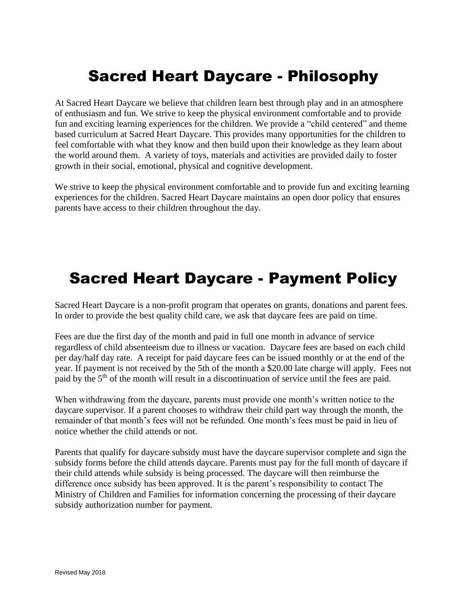### Sacred Heart Daycare - Philosophy

At Sacred Heart Daycare we believe that children learn best through play and in an atmosphere of enthusiasm and fun. We strive to keep the physical environment comfortable and to provide fun and exciting learning experiences for the children. We provide a "child centered" and theme based curriculum at Sacred Heart Daycare. This provides many opportunities for the children to feel comfortable with what they know and then build upon their knowledge as they learn about the world around them. A variety of toys, materials and activities are provided daily to foster growth in their social, emotional, physical and cognitive development.

We strive to keep the physical environment comfortable and to provide fun and exciting learning experiences for the children. Sacred Heart Daycare maintains an open door policy that ensures parents have access to their children throughout the day.

### Sacred Heart Daycare - Payment Policy

Sacred Heart Daycare is a non-profit program that operates on grants, donations and parent fees. In order to provide the best quality child care, we ask that daycare fees are paid on time.

Fees are due the first day of the month and paid in full one month in advance of service regardless of child absenteeism due to illness or vacation. Daycare fees are based on each child per day/half day rate. A receipt for paid daycare fees can be issued monthly or at the end of the year. If payment is not received by the 5th of the month a \$20.00 late charge will apply. Fees not paid by the 5<sup>th</sup> of the month will result in a discontinuation of service until the fees are paid.

When withdrawing from the daycare, parents must provide one month's written notice to the daycare supervisor. If a parent chooses to withdraw their child part way through the month, the remainder of that month's fees will not be refunded. One month's fees must be paid in lieu of notice whether the child attends or not.

Parents that qualify for daycare subsidy must have the daycare supervisor complete and sign the subsidy forms before the child attends daycare. Parents must pay for the full month of daycare if their child attends while subsidy is being processed. The daycare will then reimburse the difference once subsidy has been approved. It is the parent's responsibility to contact The Ministry of Children and Families for information concerning the processing of their daycare subsidy authorization number for payment.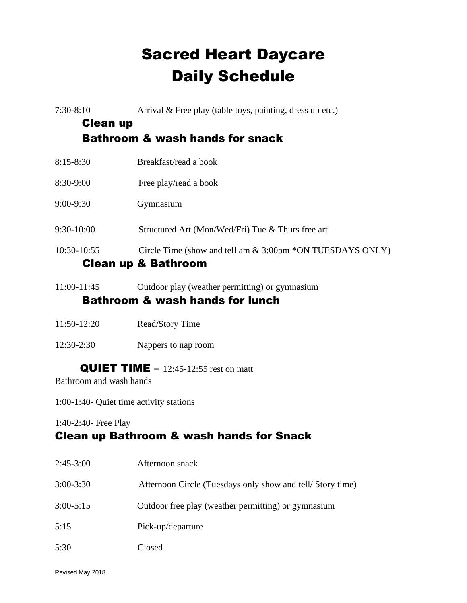## Sacred Heart Daycare Daily Schedule

| $7:30-8:10$     | Arrival $\&$ Free play (table toys, painting, dress up etc.)                                |
|-----------------|---------------------------------------------------------------------------------------------|
| <b>Clean up</b> |                                                                                             |
|                 | <b>Bathroom &amp; wash hands for snack</b>                                                  |
| $8:15 - 8:30$   | Breakfast/read a book                                                                       |
| 8:30-9:00       | Free play/read a book                                                                       |
| $9:00 - 9:30$   | Gymnasium                                                                                   |
| 9:30-10:00      | Structured Art (Mon/Wed/Fri) Tue & Thurs free art                                           |
| 10:30-10:55     | Circle Time (show and tell am & 3:00pm *ON TUESDAYS ONLY)<br><b>Clean up &amp; Bathroom</b> |
| 11:00-11:45     | Outdoor play (weather permitting) or gymnasium                                              |

#### Bathroom & wash hands for lunch

- 11:50-12:20 Read/Story Time
- 12:30-2:30 Nappers to nap room

#### **QUIET TIME**  $-12:45-12:55$  rest on matt

Bathroom and wash hands

1:00-1:40- Quiet time activity stations

1:40-2:40- Free Play

#### Clean up Bathroom & wash hands for Snack

| $2:45-3:00$   | Afternoon snack                                           |
|---------------|-----------------------------------------------------------|
| $3:00 - 3:30$ | Afternoon Circle (Tuesdays only show and tell/Story time) |
| $3:00 - 5:15$ | Outdoor free play (weather permitting) or gymnasium       |
| 5:15          | Pick-up/departure                                         |
| 5:30          | Closed                                                    |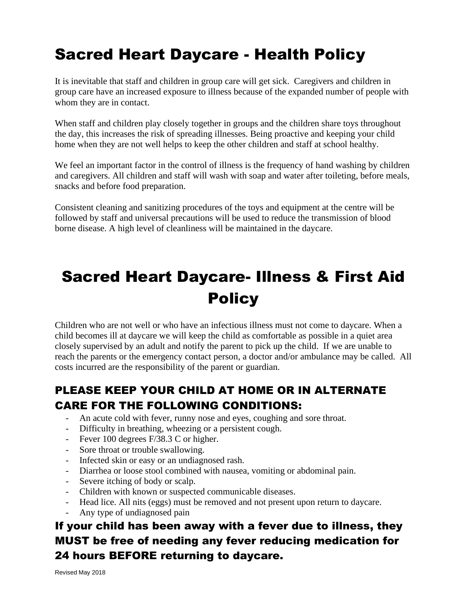### Sacred Heart Daycare - Health Policy

It is inevitable that staff and children in group care will get sick. Caregivers and children in group care have an increased exposure to illness because of the expanded number of people with whom they are in contact.

When staff and children play closely together in groups and the children share toys throughout the day, this increases the risk of spreading illnesses. Being proactive and keeping your child home when they are not well helps to keep the other children and staff at school healthy.

We feel an important factor in the control of illness is the frequency of hand washing by children and caregivers. All children and staff will wash with soap and water after toileting, before meals, snacks and before food preparation.

Consistent cleaning and sanitizing procedures of the toys and equipment at the centre will be followed by staff and universal precautions will be used to reduce the transmission of blood borne disease. A high level of cleanliness will be maintained in the daycare.

### Sacred Heart Daycare- Illness & First Aid **Policy**

Children who are not well or who have an infectious illness must not come to daycare. When a child becomes ill at daycare we will keep the child as comfortable as possible in a quiet area closely supervised by an adult and notify the parent to pick up the child. If we are unable to reach the parents or the emergency contact person, a doctor and/or ambulance may be called. All costs incurred are the responsibility of the parent or guardian.

### PLEASE KEEP YOUR CHILD AT HOME OR IN ALTERNATE CARE FOR THE FOLLOWING CONDITIONS:

- An acute cold with fever, runny nose and eyes, coughing and sore throat.
- Difficulty in breathing, wheezing or a persistent cough.
- Fever 100 degrees F/38.3 C or higher.
- Sore throat or trouble swallowing.
- Infected skin or easy or an undiagnosed rash.
- Diarrhea or loose stool combined with nausea, vomiting or abdominal pain.
- Severe itching of body or scalp.
- Children with known or suspected communicable diseases.
- Head lice. All nits (eggs) must be removed and not present upon return to daycare.
- Any type of undiagnosed pain

### If your child has been away with a fever due to illness, they MUST be free of needing any fever reducing medication for 24 hours BEFORE returning to daycare.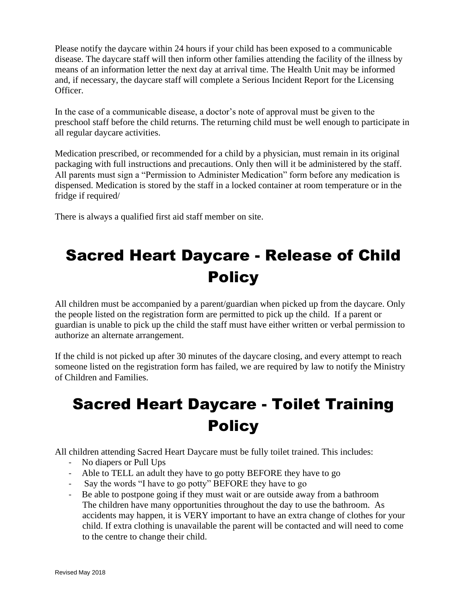Please notify the daycare within 24 hours if your child has been exposed to a communicable disease. The daycare staff will then inform other families attending the facility of the illness by means of an information letter the next day at arrival time. The Health Unit may be informed and, if necessary, the daycare staff will complete a Serious Incident Report for the Licensing Officer.

In the case of a communicable disease, a doctor's note of approval must be given to the preschool staff before the child returns. The returning child must be well enough to participate in all regular daycare activities.

Medication prescribed, or recommended for a child by a physician, must remain in its original packaging with full instructions and precautions. Only then will it be administered by the staff. All parents must sign a "Permission to Administer Medication" form before any medication is dispensed. Medication is stored by the staff in a locked container at room temperature or in the fridge if required/

There is always a qualified first aid staff member on site.

### Sacred Heart Daycare - Release of Child **Policy**

All children must be accompanied by a parent/guardian when picked up from the daycare. Only the people listed on the registration form are permitted to pick up the child. If a parent or guardian is unable to pick up the child the staff must have either written or verbal permission to authorize an alternate arrangement.

If the child is not picked up after 30 minutes of the daycare closing, and every attempt to reach someone listed on the registration form has failed, we are required by law to notify the Ministry of Children and Families.

### Sacred Heart Daycare - Toilet Training **Policy**

All children attending Sacred Heart Daycare must be fully toilet trained. This includes:

- No diapers or Pull Ups
- Able to TELL an adult they have to go potty BEFORE they have to go
- Say the words "I have to go potty" BEFORE they have to go
- Be able to postpone going if they must wait or are outside away from a bathroom The children have many opportunities throughout the day to use the bathroom. As accidents may happen, it is VERY important to have an extra change of clothes for your child. If extra clothing is unavailable the parent will be contacted and will need to come to the centre to change their child.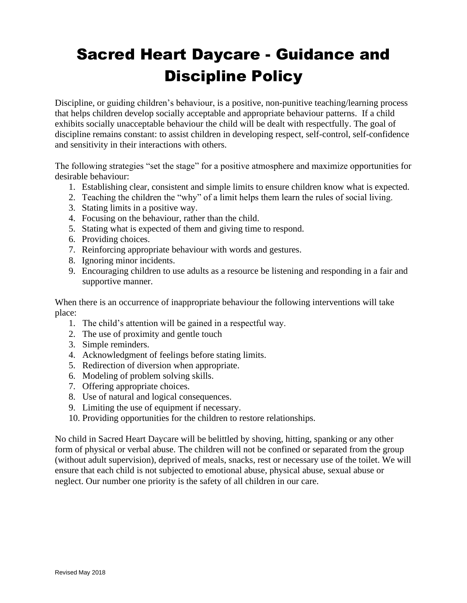## Sacred Heart Daycare - Guidance and Discipline Policy

Discipline, or guiding children's behaviour, is a positive, non-punitive teaching/learning process that helps children develop socially acceptable and appropriate behaviour patterns. If a child exhibits socially unacceptable behaviour the child will be dealt with respectfully. The goal of discipline remains constant: to assist children in developing respect, self-control, self-confidence and sensitivity in their interactions with others.

The following strategies "set the stage" for a positive atmosphere and maximize opportunities for desirable behaviour:

- 1. Establishing clear, consistent and simple limits to ensure children know what is expected.
- 2. Teaching the children the "why" of a limit helps them learn the rules of social living.
- 3. Stating limits in a positive way.
- 4. Focusing on the behaviour, rather than the child.
- 5. Stating what is expected of them and giving time to respond.
- 6. Providing choices.
- 7. Reinforcing appropriate behaviour with words and gestures.
- 8. Ignoring minor incidents.
- 9. Encouraging children to use adults as a resource be listening and responding in a fair and supportive manner.

When there is an occurrence of inappropriate behaviour the following interventions will take place:

- 1. The child's attention will be gained in a respectful way.
- 2. The use of proximity and gentle touch
- 3. Simple reminders.
- 4. Acknowledgment of feelings before stating limits.
- 5. Redirection of diversion when appropriate.
- 6. Modeling of problem solving skills.
- 7. Offering appropriate choices.
- 8. Use of natural and logical consequences.
- 9. Limiting the use of equipment if necessary.
- 10. Providing opportunities for the children to restore relationships.

No child in Sacred Heart Daycare will be belittled by shoving, hitting, spanking or any other form of physical or verbal abuse. The children will not be confined or separated from the group (without adult supervision), deprived of meals, snacks, rest or necessary use of the toilet. We will ensure that each child is not subjected to emotional abuse, physical abuse, sexual abuse or neglect. Our number one priority is the safety of all children in our care.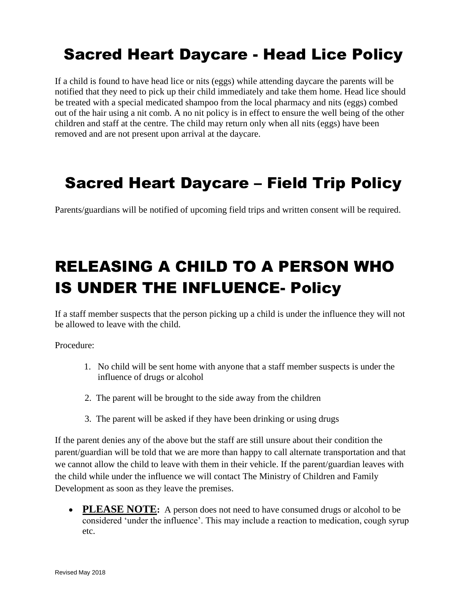### Sacred Heart Daycare - Head Lice Policy

If a child is found to have head lice or nits (eggs) while attending daycare the parents will be notified that they need to pick up their child immediately and take them home. Head lice should be treated with a special medicated shampoo from the local pharmacy and nits (eggs) combed out of the hair using a nit comb. A no nit policy is in effect to ensure the well being of the other children and staff at the centre. The child may return only when all nits (eggs) have been removed and are not present upon arrival at the daycare.

### Sacred Heart Daycare – Field Trip Policy

Parents/guardians will be notified of upcoming field trips and written consent will be required.

## RELEASING A CHILD TO A PERSON WHO IS UNDER THE INFLUENCE- Policy

If a staff member suspects that the person picking up a child is under the influence they will not be allowed to leave with the child.

Procedure:

- 1. No child will be sent home with anyone that a staff member suspects is under the influence of drugs or alcohol
- 2. The parent will be brought to the side away from the children
- 3. The parent will be asked if they have been drinking or using drugs

If the parent denies any of the above but the staff are still unsure about their condition the parent/guardian will be told that we are more than happy to call alternate transportation and that we cannot allow the child to leave with them in their vehicle. If the parent/guardian leaves with the child while under the influence we will contact The Ministry of Children and Family Development as soon as they leave the premises.

• **PLEASE NOTE:** A person does not need to have consumed drugs or alcohol to be considered 'under the influence'. This may include a reaction to medication, cough syrup etc.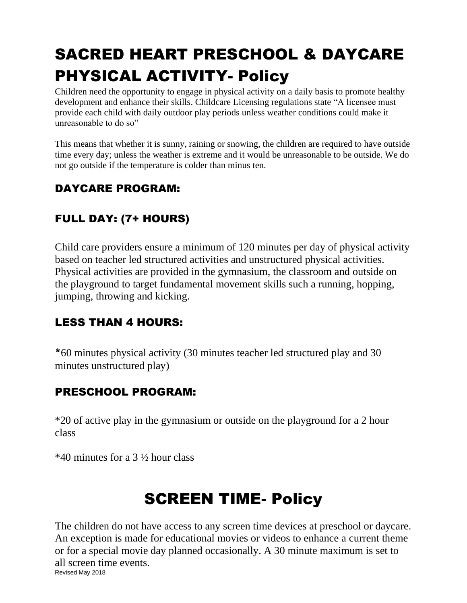## SACRED HEART PRESCHOOL & DAYCARE PHYSICAL ACTIVITY- Policy

Children need the opportunity to engage in physical activity on a daily basis to promote healthy development and enhance their skills. Childcare Licensing regulations state "A licensee must provide each child with daily outdoor play periods unless weather conditions could make it unreasonable to do so"

This means that whether it is sunny, raining or snowing, the children are required to have outside time every day; unless the weather is extreme and it would be unreasonable to be outside. We do not go outside if the temperature is colder than minus ten.

#### DAYCARE PROGRAM:

### FULL DAY: (7+ HOURS)

Child care providers ensure a minimum of 120 minutes per day of physical activity based on teacher led structured activities and unstructured physical activities. Physical activities are provided in the gymnasium, the classroom and outside on the playground to target fundamental movement skills such a running, hopping, jumping, throwing and kicking.

### LESS THAN 4 HOURS:

\*60 minutes physical activity (30 minutes teacher led structured play and 30 minutes unstructured play)

#### PRESCHOOL PROGRAM:

\*20 of active play in the gymnasium or outside on the playground for a 2 hour class

\*40 minutes for a 3 ½ hour class

## SCREEN TIME- Policy

Revised May 2018 The children do not have access to any screen time devices at preschool or daycare. An exception is made for educational movies or videos to enhance a current theme or for a special movie day planned occasionally. A 30 minute maximum is set to all screen time events.